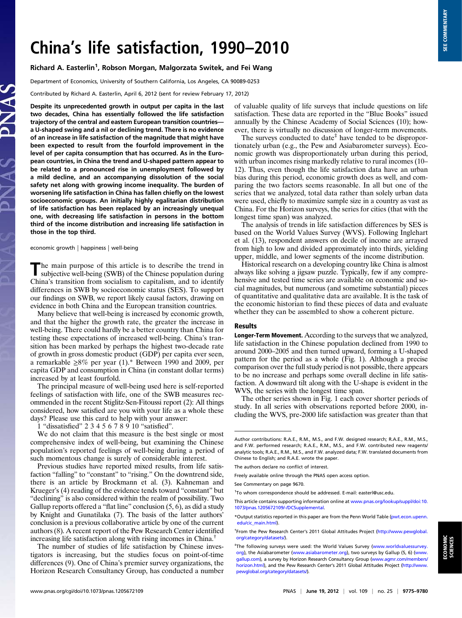## China's life satisfaction, 1990–2010

Richard A. Easterlin<sup>1</sup>, Robson Morgan, Malgorzata Switek, and Fei Wang

Department of Economics, University of Southern California, Los Angeles, CA 90089-0253

Contributed by Richard A. Easterlin, April 6, 2012 (sent for review February 17, 2012)

Despite its unprecedented growth in output per capita in the last two decades, China has essentially followed the life satisfaction trajectory of the central and eastern European transition countries a U-shaped swing and a nil or declining trend. There is no evidence of an increase in life satisfaction of the magnitude that might have been expected to result from the fourfold improvement in the level of per capita consumption that has occurred. As in the European countries, in China the trend and U-shaped pattern appear to be related to a pronounced rise in unemployment followed by a mild decline, and an accompanying dissolution of the social safety net along with growing income inequality. The burden of worsening life satisfaction in China has fallen chiefly on the lowest socioeconomic groups. An initially highly egalitarian distribution of life satisfaction has been replaced by an increasingly unequal one, with decreasing life satisfaction in persons in the bottom third of the income distribution and increasing life satisfaction in those in the top third.

economic growth | happiness | well-being

The main purpose of this article is to describe the trend in subjective well-being (SWB) of the Chinese population during China's transition from socialism to capitalism, and to identify differences in SWB by socioeconomic status (SES). To support our findings on SWB, we report likely causal factors, drawing on evidence in both China and the European transition countries.

Many believe that well-being is increased by economic growth, and that the higher the growth rate, the greater the increase in well-being. There could hardly be a better country than China for testing these expectations of increased well-being. China's transition has been marked by perhaps the highest two-decade rate of growth in gross domestic product (GDP) per capita ever seen, a remarkable  $\geq 8\%$  per year (1).\* Between 1990 and 2009, per capita GDP and consumption in China (in constant dollar terms) increased by at least fourfold.

The principal measure of well-being used here is self-reported feelings of satisfaction with life, one of the SWB measures recommended in the recent Stiglitz-Sen-Fitoussi report (2): All things considered, how satisfied are you with your life as a whole these days? Please use this card to help with your answer:

1 "dissatisfied" 2 3 4 5 6 7 8 9 10 "satisfied".

We do not claim that this measure is the best single or most comprehensive index of well-being, but examining the Chinese population's reported feelings of well-being during a period of such momentous change is surely of considerable interest.

Previous studies have reported mixed results, from life satisfaction "falling" to "constant" to "rising." On the downtrend side, there is an article by Brockmann et al. (3). Kahneman and Krueger's (4) reading of the evidence tends toward "constant" but "declining" is also considered within the realm of possibility. Two Gallup reports offered a "flat line" conclusion (5, 6), as did a study by Knight and Gunatilaka (7). The basis of the latter authors' conclusion is a previous collaborative article by one of the current authors (8). A recent report of the Pew Research Center identified increasing life satisfaction along with rising incomes in China.†

The number of studies of life satisfaction by Chinese investigators is increasing, but the studies focus on point-of-time differences (9). One of China's premier survey organizations, the Horizon Research Consultancy Group, has conducted a number of valuable quality of life surveys that include questions on life satisfaction. These data are reported in the "Blue Books" issued annually by the Chinese Academy of Social Sciences (10); however, there is virtually no discussion of longer-term movements.

The surveys conducted to date<sup> $\ddagger$ </sup> have tended to be disproportionately urban (e.g., the Pew and Asiabarometer surveys). Economic growth was disproportionately urban during this period, with urban incomes rising markedly relative to rural incomes (10– 12). Thus, even though the life satisfaction data have an urban bias during this period, economic growth does as well, and comparing the two factors seems reasonable. In all but one of the series that we analyzed, total data rather than solely urban data were used, chiefly to maximize sample size in a country as vast as China. For the Horizon surveys, the series for cities (that with the longest time span) was analyzed.

The analysis of trends in life satisfaction differences by SES is based on the World Values Survey (WVS). Following Inglehart et al. (13), respondent answers on decile of income are arrayed from high to low and divided approximately into thirds, yielding upper, middle, and lower segments of the income distribution.

Historical research on a developing country like China is almost always like solving a jigsaw puzzle. Typically, few if any comprehensive and tested time series are available on economic and social magnitudes, but numerous (and sometime substantial) pieces of quantitative and qualitative data are available. It is the task of the economic historian to find these pieces of data and evaluate whether they can be assembled to show a coherent picture.

## Results

Longer-Term Movement. According to the surveys that we analyzed, life satisfaction in the Chinese population declined from 1990 to around 2000–2005 and then turned upward, forming a U-shaped pattern for the period as a whole (Fig. 1). Although a precise comparison over the full study period is not possible, there appears to be no increase and perhaps some overall decline in life satisfaction. A downward tilt along with the U-shape is evident in the WVS, the series with the longest time span.

The other series shown in Fig. 1 each cover shorter periods of study. In all series with observations reported before 2000, including the WVS, pre-2000 life satisfaction was greater than that

ECONOMIC SCIENCES

Author contributions: R.A.E., R.M., M.S., and F.W. designed research; R.A.E., R.M., M.S., and F.W. performed research; R.A.E., R.M., M.S., and F.W. contributed new reagents/ analytic tools; R.A.E., R.M., M.S., and F.W. analyzed data; F.W. translated documents from Chinese to English; and R.A.E. wrote the paper.

The authors declare no conflict of interest.

Freely available online through the PNAS open access option.

See Commentary on page 9670.

<sup>&</sup>lt;sup>1</sup>To whom correspondence should be addressed. E-mail: [easterl@usc.edu](mailto:easterl@usc.edu).

This article contains supporting information online at [www.pnas.org/lookup/suppl/doi:10.](http://www.pnas.org/lookup/suppl/doi:10.1073/pnas.1205672109/-/DCSupplemental) [1073/pnas.1205672109/-/DCSupplemental](http://www.pnas.org/lookup/suppl/doi:10.1073/pnas.1205672109/-/DCSupplemental).

<sup>\*</sup>Output statistics reported in this paper are from the Penn World Table [\(pwt.econ.upenn.](pwt.econ.upenn.edu/cic_main.html) [edu/cic\\_main.html](pwt.econ.upenn.edu/cic_main.html)).

<sup>&</sup>lt;sup>+</sup>From the Pew Research Center's 2011 Global Attitudes Project [\(http://www.pewglobal.](http://www.pewglobal.org/category/datasets/) [org/category/datasets/](http://www.pewglobal.org/category/datasets/)).

<sup>‡</sup> The following surveys were used: the World Values Survey [\(www.worldvaluessurvey.](http://www.worldvaluessurvey.org) [org](http://www.worldvaluessurvey.org)), the Asiabarometer ([www.asiabarometer.org](http://www.asiabarometer.org)), two surveys by Gallup (5, 6) ([www.](http://www.gallup.com) [gallup.com](http://www.gallup.com)), a survey by Horizon Research Consultancy Group [\(www.agmr.com/members/](http://www.agmr.com/members/horizon.html) [horizon.html](http://www.agmr.com/members/horizon.html)), and the Pew Research Center's 2011 Global Attitudes Project ([http://www.](http://www.pewglobal.org/category/datasets/) [pewglobal.org/category/datasets/\)](http://www.pewglobal.org/category/datasets/).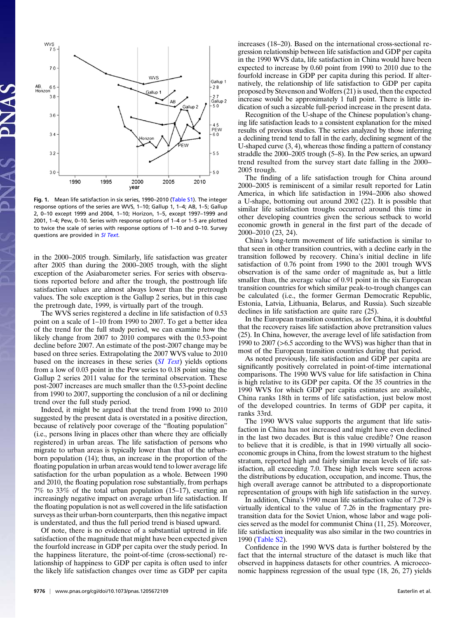

Fig. 1. Mean life satisfaction in six series, 1990-2010 ([Table S1\)](http://www.pnas.org/lookup/suppl/doi:10.1073/pnas.1205672109/-/DCSupplemental/pnas.201205672SI.pdf?targetid=nameddest=ST1). The integer response options of the series are WVS, 1–10; Gallup 1, 1–4; AB, 1–5; Gallup 2, 0–10 except 1999 and 2004, 1–10; Horizon, 1–5, except 1997–1999 and 2001, 1–4; Pew, 0–10. Series with response options of 1–4 or 1–5 are plotted to twice the scale of series with response options of 1–10 and 0–10. Survey questions are provided in [SI Text](http://www.pnas.org/lookup/suppl/doi:10.1073/pnas.1205672109/-/DCSupplemental/pnas.201205672SI.pdf?targetid=nameddest=STXT).

in the 2000–2005 trough. Similarly, life satisfaction was greater after 2005 than during the 2000–2005 trough, with the slight exception of the Asiabarometer series. For series with observations reported before and after the trough, the posttrough life satisfaction values are almost always lower than the pretrough values. The sole exception is the Gallup 2 series, but in this case the pretrough date, 1999, is virtually part of the trough.

The WVS series registered a decline in life satisfaction of 0.53 point on a scale of 1–10 from 1990 to 2007. To get a better idea of the trend for the full study period, we can examine how the likely change from 2007 to 2010 compares with the 0.53-point decline before 2007. An estimate of the post-2007 change may be based on three series. Extrapolating the 2007 WVS value to 2010 based on the increases in these series ([SI Text](http://www.pnas.org/lookup/suppl/doi:10.1073/pnas.1205672109/-/DCSupplemental/pnas.201205672SI.pdf?targetid=nameddest=STXT)) yields options from a low of 0.03 point in the Pew series to 0.18 point using the Gallup 2 series 2011 value for the terminal observation. These post-2007 increases are much smaller than the 0.53-point decline from 1990 to 2007, supporting the conclusion of a nil or declining trend over the full study period.

Indeed, it might be argued that the trend from 1990 to 2010 suggested by the present data is overstated in a positive direction, because of relatively poor coverage of the "floating population" (i.e., persons living in places other than where they are officially registered) in urban areas. The life satisfaction of persons who migrate to urban areas is typically lower than that of the urbanborn population (14); thus, an increase in the proportion of the floating population in urban areas would tend to lower average life satisfaction for the urban population as a whole. Between 1990 and 2010, the floating population rose substantially, from perhaps 7% to 33% of the total urban population (15–17), exerting an increasingly negative impact on average urban life satisfaction. If the floating population is not as well covered in the life satisfaction surveys as their urban-born counterparts, then this negative impact is understated, and thus the full period trend is biased upward.

Of note, there is no evidence of a substantial uptrend in life satisfaction of the magnitude that might have been expected given the fourfold increase in GDP per capita over the study period. In the happiness literature, the point-of-time (cross-sectional) relationship of happiness to GDP per capita is often used to infer the likely life satisfaction changes over time as GDP per capita increases (18–20). Based on the international cross-sectional regression relationship between life satisfaction and GDP per capita in the 1990 WVS data, life satisfaction in China would have been expected to increase by 0.60 point from 1990 to 2010 due to the fourfold increase in GDP per capita during this period. If alternatively, the relationship of life satisfaction to GDP per capita proposed by Stevenson and Wolfers (21) is used, then the expected increase would be approximately 1 full point. There is little indication of such a sizeable full-period increase in the present data.

Recognition of the U-shape of the Chinese population's changing life satisfaction leads to a consistent explanation for the mixed results of previous studies. The series analyzed by those inferring a declining trend tend to fall in the early, declining segment of the U-shaped curve (3, 4), whereas those finding a pattern of constancy straddle the 2000–2005 trough (5–8). In the Pew series, an upward trend resulted from the survey start date falling in the 2000– 2005 trough.

The finding of a life satisfaction trough for China around 2000–2005 is reminiscent of a similar result reported for Latin America, in which life satisfaction in 1994–2006 also showed a U-shape, bottoming out around 2002 (22). It is possible that similar life satisfaction troughs occurred around this time in other developing countries given the serious setback to world economic growth in general in the first part of the decade of 2000–2010 (23, 24).

China's long-term movement of life satisfaction is similar to that seen in other transition countries, with a decline early in the transition followed by recovery. China's initial decline in life satisfaction of 0.76 point from 1990 to the 2001 trough WVS observation is of the same order of magnitude as, but a little smaller than, the average value of 0.91 point in the six European transition countries for which similar peak-to-trough changes can be calculated (i.e., the former German Democratic Republic, Estonia, Latvia, Lithuania, Belarus, and Russia). Such sizeable declines in life satisfaction are quite rare (25).

In the European transition countries, as for China, it is doubtful that the recovery raises life satisfaction above pretransition values (25). In China, however, the average level of life satisfaction from 1990 to 2007 (>6.5 according to the WVS) was higher than that in most of the European transition countries during that period.

As noted previously, life satisfaction and GDP per capita are significantly positively correlated in point-of-time international comparisons. The 1990 WVS value for life satisfaction in China is high relative to its GDP per capita. Of the 35 countries in the 1990 WVS for which GDP per capita estimates are available, China ranks 18th in terms of life satisfaction, just below most of the developed countries. In terms of GDP per capita, it ranks 33rd.

The 1990 WVS value supports the argument that life satisfaction in China has not increased and might have even declined in the last two decades. But is this value credible? One reason to believe that it is credible, is that in 1990 virtually all socioeconomic groups in China, from the lowest stratum to the highest stratum, reported high and fairly similar mean levels of life satisfaction, all exceeding 7.0. These high levels were seen across the distributions by education, occupation, and income. Thus, the high overall average cannot be attributed to a disproportionate representation of groups with high life satisfaction in the survey.

In addition, China's 1990 mean life satisfaction value of 7.29 is virtually identical to the value of 7.26 in the fragmentary pretransition data for the Soviet Union, whose labor and wage policies served as the model for communist China (11, 25). Moreover, life satisfaction inequality was also similar in the two countries in 1990 [\(Table S2](http://www.pnas.org/lookup/suppl/doi:10.1073/pnas.1205672109/-/DCSupplemental/pnas.201205672SI.pdf?targetid=nameddest=ST2)).

Confidence in the 1990 WVS data is further bolstered by the fact that the internal structure of the dataset is much like that observed in happiness datasets for other countries. A microeconomic happiness regression of the usual type (18, 26, 27) yields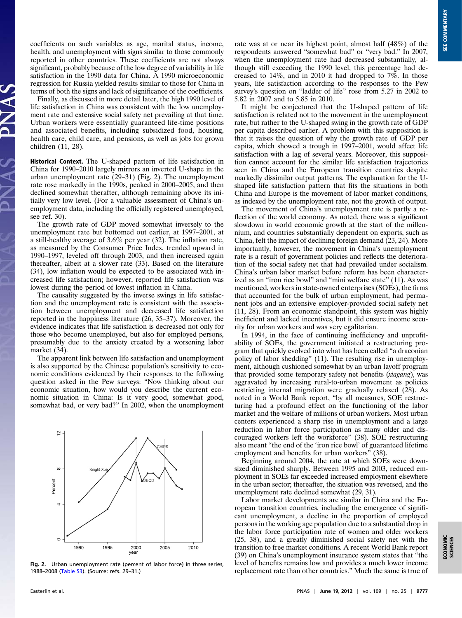coefficients on such variables as age, marital status, income, health, and unemployment with signs similar to those commonly reported in other countries. These coefficients are not always significant, probably because of the low degree of variability in life satisfaction in the 1990 data for China. A 1990 microeconomic regression for Russia yielded results similar to those for China in terms of both the signs and lack of significance of the coefficients.

Finally, as discussed in more detail later, the high 1990 level of life satisfaction in China was consistent with the low unemployment rate and extensive social safety net prevailing at that time. Urban workers were essentially guaranteed life-time positions and associated benefits, including subsidized food, housing, health care, child care, and pensions, as well as jobs for grown children (11, 28).

Historical Context. The U-shaped pattern of life satisfaction in China for 1990–2010 largely mirrors an inverted U-shape in the urban unemployment rate (29–31) (Fig. 2). The unemployment rate rose markedly in the 1990s, peaked in 2000–2005, and then declined somewhat therafter, although remaining above its initially very low level. (For a valuable assessment of China's unemployment data, including the officially registered unemployed, see ref. 30).

The growth rate of GDP moved somewhat inversely to the unemployment rate but bottomed out earlier, at 1997–2001, at a still-healthy average of 3.6% per year (32). The inflation rate, as measured by the Consumer Price Index, trended upward in 1990–1997, leveled off through 2003, and then increased again thereafter, albeit at a slower rate (33). Based on the literature (34), low inflation would be expected to be associated with increased life satisfaction; however, reported life satisfaction was lowest during the period of lowest inflation in China.

The causality suggested by the inverse swings in life satisfaction and the unemployment rate is consistent with the association between unemployment and decreased life satisfaction reported in the happiness literature (26, 35–37). Moreover, the evidence indicates that life satisfaction is decreased not only for those who become unemployed, but also for employed persons, presumably due to the anxiety created by a worsening labor market (34).

The apparent link between life satisfaction and unemployment is also supported by the Chinese population's sensitivity to economic conditions evidenced by their responses to the following question asked in the Pew surveys: "Now thinking about our economic situation, how would you describe the current economic situation in China: Is it very good, somewhat good, somewhat bad, or very bad?" In 2002, when the unemployment



Fig. 2. Urban unemployment rate (percent of labor force) in three series, 1988–2008 [\(Table S3\)](http://www.pnas.org/lookup/suppl/doi:10.1073/pnas.1205672109/-/DCSupplemental/pnas.201205672SI.pdf?targetid=nameddest=ST3). (Source: refs. 29–31.)

rate was at or near its highest point, almost half (48%) of the respondents answered "somewhat bad" or "very bad." In 2007, when the unemployment rate had decreased substantially, although still exceeding the 1990 level, this percentage had decreased to 14%, and in 2010 it had dropped to 7%. In those years, life satisfaction according to the responses to the Pew survey's question on "ladder of life" rose from 5.27 in 2002 to 5.82 in 2007 and to 5.85 in 2010.

It might be conjectured that the U-shaped pattern of life satisfaction is related not to the movement in the unemployment rate, but rather to the U-shaped swing in the growth rate of GDP per capita described earlier. A problem with this supposition is that it raises the question of why the growth rate of GDP per capita, which showed a trough in 1997–2001, would affect life satisfaction with a lag of several years. Moreover, this supposition cannot account for the similar life satisfaction trajectories seen in China and the European transition countries despite markedly dissimilar output patterns. The explanation for the Ushaped life satisfaction pattern that fits the situations in both China and Europe is the movement of labor market conditions, as indexed by the unemployment rate, not the growth of output.

The movement of China's unemployment rate is partly a reflection of the world economy. As noted, there was a significant slowdown in world economic growth at the start of the millennium, and countries substantially dependent on exports, such as China, felt the impact of declining foreign demand  $(23, 24)$ . More importantly, however, the movement in China's unemployment rate is a result of government policies and reflects the deterioration of the social safety net that had prevailed under socialism. China's urban labor market before reform has been characterized as an "iron rice bowl" and "mini welfare state" (11). As was mentioned, workers in state-owned enterprises (SOEs), the firms that accounted for the bulk of urban employment, had permanent jobs and an extensive employer-provided social safety net (11, 28). From an economic standpoint, this system was highly inefficient and lacked incentives, but it did ensure income security for urban workers and was very egalitarian.

In 1994, in the face of continuing inefficiency and unprofitability of SOEs, the government initiated a restructuring program that quickly evolved into what has been called "a draconian policy of labor shedding" (11). The resulting rise in unemployment, although cushioned somewhat by an urban layoff program that provided some temporary safety net benefits (xiagang), was aggravated by increasing rural-to-urban movement as policies restricting internal migration were gradually relaxed (28). As noted in a World Bank report, "by all measures, SOE restructuring had a profound effect on the functioning of the labor market and the welfare of millions of urban workers. Most urban centers experienced a sharp rise in unemployment and a large reduction in labor force participation as many older and discouraged workers left the workforce" (38). SOE restructuring also meant "the end of the 'iron rice bowl' of guaranteed lifetime employment and benefits for urban workers" (38).

Beginning around 2004, the rate at which SOEs were downsized diminished sharply. Between 1995 and 2003, reduced employment in SOEs far exceeded increased employment elsewhere in the urban sector; thereafter, the situation was reversed, and the unemployment rate declined somewhat (29, 31).

Labor market developments are similar in China and the European transition countries, including the emergence of significant unemployment, a decline in the proportion of employed persons in the working age population due to a substantial drop in the labor force participation rate of women and older workers (25, 38), and a greatly diminished social safety net with the transition to free market conditions. A recent World Bank report (39) on China's unemployment insurance system states that "the level of benefits remains low and provides a much lower income replacement rate than other countries." Much the same is true of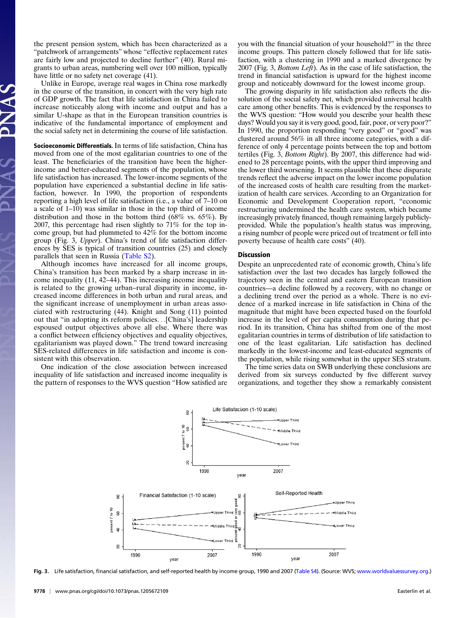the present pension system, which has been characterized as a "patchwork of arrangements" whose "effective replacement rates are fairly low and projected to decline further" (40). Rural migrants to urban areas, numbering well over 100 million, typically have little or no safety net coverage (41).

Unlike in Europe, average real wages in China rose markedly in the course of the transition, in concert with the very high rate of GDP growth. The fact that life satisfaction in China failed to increase noticeably along with income and output and has a similar U-shape as that in the European transition countries is indicative of the fundamental importance of employment and the social safety net in determining the course of life satisfaction.

Socioeconomic Differentials. In terms of life satisfaction, China has moved from one of the most egalitarian countries to one of the least. The beneficiaries of the transition have been the higherincome and better-educated segments of the population, whose life satisfaction has increased. The lower-income segments of the population have experienced a substantial decline in life satisfaction, however. In 1990, the proportion of respondents reporting a high level of life satisfaction (i.e., a value of 7–10 on a scale of 1–10) was similar in those in the top third of income distribution and those in the bottom third (68% vs. 65%). By 2007, this percentage had risen slightly to 71% for the top income group, but had plummeted to 42% for the bottom income group (Fig. 3, Upper). China's trend of life satisfaction differences by SES is typical of transition countries (25) and closely parallels that seen in Russia ([Table S2\)](http://www.pnas.org/lookup/suppl/doi:10.1073/pnas.1205672109/-/DCSupplemental/pnas.201205672SI.pdf?targetid=nameddest=ST2).

Although incomes have increased for all income groups, China's transition has been marked by a sharp increase in income inequality (11, 42–44). This increasing income inequality is related to the growing urban–rural disparity in income, increased income differences in both urban and rural areas, and the significant increase of unemployment in urban areas associated with restructuring (44). Knight and Song (11) pointed out that "in adopting its reform policies...[China's] leadership espoused output objectives above all else. Where there was a conflict between efficiency objectives and equality objectives, egalitarianism was played down." The trend toward increasing SES-related differences in life satisfaction and income is consistent with this observation.

One indication of the close association between increased inequality of life satisfaction and increased income inequality is the pattern of responses to the WVS question "How satisfied are you with the financial situation of your household?" in the three income groups. This pattern closely followed that for life satisfaction, with a clustering in 1990 and a marked divergence by 2007 (Fig. 3, Bottom Left). As in the case of life satisfaction, the trend in financial satisfaction is upward for the highest income group and noticeably downward for the lowest income group.

The growing disparity in life satisfaction also reflects the dissolution of the social safety net, which provided universal health care among other benefits. This is evidenced by the responses to the WVS question: "How would you describe your health these days? Would you say it is very good, good, fair, poor, or very poor?" In 1990, the proportion responding "very good" or "good" was clustered around 56% in all three income categories, with a difference of only 4 percentage points between the top and bottom tertiles (Fig. 3, Bottom Right). By 2007, this difference had widened to 28 percentage points, with the upper third improving and the lower third worsening. It seems plausible that these disparate trends reflect the adverse impact on the lower income population of the increased costs of health care resulting from the marketization of health care services. According to an Organization for Economic and Development Cooperation report, "economic restructuring undermined the health care system, which became increasingly privately financed, though remaining largely publiclyprovided. While the population's health status was improving, a rising number of people were priced out of treatment or fell into poverty because of health care costs" (40).

## **Discussion**

Despite an unprecedented rate of economic growth, China's life satisfaction over the last two decades has largely followed the trajectory seen in the central and eastern European transition countries—a decline followed by a recovery, with no change or a declining trend over the period as a whole. There is no evidence of a marked increase in life satisfaction in China of the magnitude that might have been expected based on the fourfold increase in the level of per capita consumption during that period. In its transition, China has shifted from one of the most egalitarian countries in terms of distribution of life satisfaction to one of the least egalitarian. Life satisfaction has declined markedly in the lowest-income and least-educated segments of the population, while rising somewhat in the upper SES stratum.

The time series data on SWB underlying these conclusions are derived from six surveys conducted by five different survey organizations, and together they show a remarkably consistent



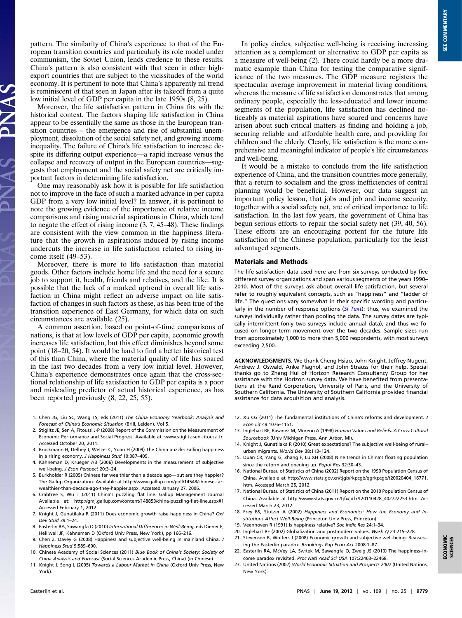pattern. The similarity of China's experience to that of the European transition countries and particularly its role model under communism, the Soviet Union, lends credence to these results. China's pattern is also consistent with that seen in other highexport countries that are subject to the vicissitudes of the world economy. It is pertinent to note that China's apparently nil trend is reminiscent of that seen in Japan after its takeoff from a quite low initial level of GDP per capita in the late 1950s (8, 25).

Moreover, the life satisfaction pattern in China fits with the historical context. The factors shaping life satisfaction in China appear to be essentially the same as those in the European transition countries – the emergence and rise of substantial unemployment, dissolution of the social safety net, and growing income inequality. The failure of China's life satisfaction to increase despite its differing output experience—a rapid increase versus the collapse and recovery of output in the European countries—suggests that employment and the social safety net are critically important factors in determining life satisfaction.

One may reasonably ask how it is possible for life satisfaction not to improve in the face of such a marked advance in per capita GDP from a very low initial level? In answer, it is pertinent to note the growing evidence of the importance of relative income comparisons and rising material aspirations in China, which tend to negate the effect of rising income (3, 7, 45–48). These findings are consistent with the view common in the happiness literature that the growth in aspirations induced by rising income undercuts the increase in life satisfaction related to rising income itself (49–53).

Moreover, there is more to life satisfaction than material goods. Other factors include home life and the need for a secure job to support it, health, friends and relatives, and the like. It is possible that the lack of a marked uptrend in overall life satisfaction in China might reflect an adverse impact on life satisfaction of changes in such factors as these, as has been true of the transition experience of East Germany, for which data on such circumstances are available (25).

A common assertion, based on point-of-time comparisons of nations, is that at low levels of GDP per capita, economic growth increases life satisfaction, but this effect diminishes beyond some point (18–20, 54). It would be hard to find a better historical test of this than China, where the material quality of life has soared in the last two decades from a very low initial level. However, China's experience demonstrates once again that the cross-sectional relationship of life satisfaction to GDP per capita is a poor and misleading predictor of actual historical experience, as has been reported previously (8, 22, 25, 55).

- 1. Chen JG, Liu SC, Wang TS, eds (2011) The China Economy Yearbook: Analysis and Forecast of China's Economic Situation (Brill, Leiden), Vol 5.
- 2. Stiglitz JE, Sen A, Fitoussi J-P (2008) Report of the Commission on the Measurement of Economic Performance and Social Progress. Available at: [www.stiglitz-sen-](http://www.stiglitz-sen-fitoussi.fr)fitoussi.fr. Accessed October 20, 2011.
- 3. Brockmann H, Delhey J, Welzel C, Yuan H (2009) The China puzzle: Falling happiness in a rising economy. J Happiness Stud 10:387–405.
- 4. Kahneman D, Krueger AB (2006) Developments in the measurement of subjective well-being. J Econ Perspect 20:3–24.
- 5. Burkholder R (2005) Chinese far wealthier than a decade ago—but are they happier? The Gallup Organization. Available at [http://www.gallup.com/poll/14548/chinese-far](http://www.gallup.com/poll/14548/chinese-far-wealthier-than-decade-ago-they-happier.aspx)[wealthier-than-decade-ago-they-happier.aspx](http://www.gallup.com/poll/14548/chinese-far-wealthier-than-decade-ago-they-happier.aspx). Accessed January 27, 2006.
- 6. Crabtree S, Wu T (2011) China's puzzling flat line. Gallup Management Journal Available at: [http://gmj.gallup.com/content/148853/china-puzzling-](http://gmj.gallup.com/content/148853/china-puzzling-flat-line.aspx#1)flat-line.aspx#1 Accessed February 1, 2012.
- 7. Knight J, Gunatilaka R (2011) Does economic growth raise happiness in China? Oxf Dev Stud 39:1–24.
- 8. Easterlin RA, Sawangfa O (2010) International Differences in Well-Being, eds Diener E, Helliwell JF, Kahneman D (Oxford Univ Press, New York), pp 166–216.
- 9. Chen Z, Davey G (2008) Happiness and subjective well-being in mainland China. J Happiness Stud 9:589–600.
- 10. Chinese Academy of Social Sciences (2011) Blue Book of China's Society: Society of China Analysis and Forecast (Social Sciences Academic Press, China) (in Chinese).
- 11. Knight J, Song L (2005) Towards a Labour Market in China (Oxford Univ Press, New York).

In policy circles, subjective well-being is receiving increasing attention as a complement or alternative to GDP per capita as a measure of well-being (2). There could hardly be a more dramatic example than China for testing the comparative significance of the two measures. The GDP measure registers the spectacular average improvement in material living conditions, whereas the measure of life satisfaction demonstrates that among ordinary people, especially the less-educated and lower income segments of the population, life satisfaction has declined noticeably as material aspirations have soared and concerns have arisen about such critical matters as finding and holding a job, securing reliable and affordable health care, and providing for children and the elderly. Clearly, life satisfaction is the more comprehensive and meaningful indicator of people's life circumstances and well-being.

It would be a mistake to conclude from the life satisfaction experience of China, and the transition countries more generally, that a return to socialism and the gross inefficiencies of central planning would be beneficial. However, our data suggest an important policy lesson, that jobs and job and income security, together with a social safety net, are of critical importance to life satisfaction. In the last few years, the government of China has begun serious efforts to repair the social safety net (39, 40, 56). These efforts are an encouraging portent for the future life satisfaction of the Chinese population, particularly for the least advantaged segments.

## Materials and Methods

The life satisfaction data used here are from six surveys conducted by five different survey organizations and span various segments of the years 1990– 2010. Most of the surveys ask about overall life satisfaction, but several refer to roughly equivalent concepts, such as "happiness" and "ladder of life." The questions vary somewhat in their specific wording and particularly in the number of response options  $(SI Text)$  $(SI Text)$  $(SI Text)$ ; thus, we examined the surveys individually rather than pooling the data. The survey dates are typically intermittent (only two surveys include annual data), and thus we focused on longer-term movement over the two decades. Sample sizes run from approximately 1,000 to more than 5,000 respondents, with most surveys exceeding 2,500.

ACKNOWLEDGMENTS. We thank Cheng Hsiao, John Knight, Jeffrey Nugent, Andrew J. Oswald, Anke Plagnol, and John Strauss for their help. Special thanks go to Zhang Hui of Horizon Research Consultancy Group for her assistance with the Horizon survey data. We have benefited from presentations at the Rand Corporation, University of Paris, and the University of Southern California. The University of Southern California provided financial assistance for data acquisition and analysis.

- 12. Xu CG (2011) The fundamental institutions of China's reforms and development. J Econ Lit 49:1076–1151.
- 13. Inglehart RF, Basanez M, Moreno A (1998) Human Values and Beliefs: A Cross-Cultural Sourcebook (Univ Michigan Press, Ann Arbor, MI).
- 14. Knight J, Gunatilaka R (2010) Great expectations? The subjective well-being of rural– urban migrants. World Dev 38:113–124.
- 15. Duan CR, Yang G, Zhang F, Lu XH (2008) Nine trends in China's floating population since the reform and opening up. Popul Res 32:30–43.
- 16. National Bureau of Statistics of China (2002) Report on the 1990 Population Census of China. Available at [http://www.stats.gov.cn/tjgb/rkpcgb/qgrkpcgb/t20020404\\_16771.](http://www.stats.gov.cn/tjgb/rkpcgb/qgrkpcgb/t20020404_16771.htm) [htm](http://www.stats.gov.cn/tjgb/rkpcgb/qgrkpcgb/t20020404_16771.htm). Accessed March 25, 2012.
- 17. National Bureau of Statistics of China (2011) Report on the 2010 Population Census of China. Available at [http://www.stats.gov.cn/tjfx/jdfx/t20110428\\_402722253.htm.](http://www.stats.gov.cn/tjfx/jdfx/t20110428_402722253.htm) Accessed March 23, 2012.
- 18. Frey BS, Stutzer A (2002) Happiness and Economics: How the Economy and Institutions Affect Well-Being (Princeton Univ Press, Princeton).
- 19. Veenhoven R (1991) Is happiness relative? Soc Indic Res 24:1–34.
- 20. Inglehart RF (2002) Globalization and postmodern values. Wash Q 23:215–228.
- 21. Stevenson B, Wolfers J (2008) Economic growth and subjective well-being: Reassessing the Easterlin paradox. Brookings Pap Econ Act 2008:1–87.
- 22. Easterlin RA, McVey LA, Switek M, Sawangfa O, Zweig JS (2010) The happiness–income paradox revisited. Proc Natl Acad Sci USA 107:22463–22468.
- 23. United Nations (2002) World Economic Situation and Prospects 2002 (United Nations, New York).